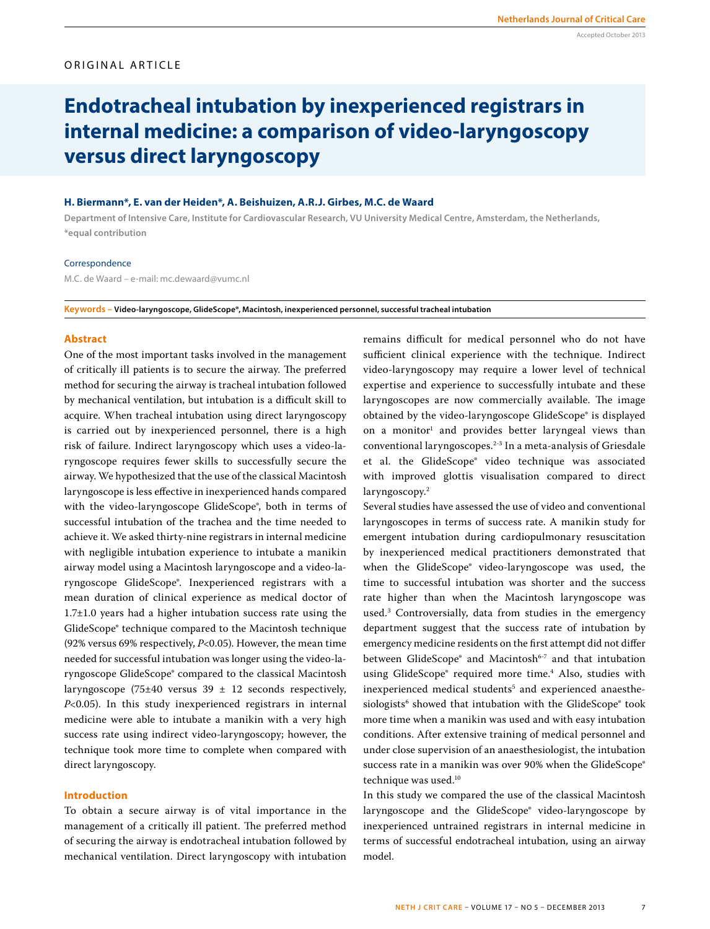# ORIGINAL ARTICLE

# **Endotracheal intubation by inexperienced registrars in internal medicine: a comparison of video-laryngoscopy versus direct laryngoscopy**

# **H. Biermann\*, E. van der Heiden\*, A. Beishuizen, A.R.J. Girbes, M.C. de Waard**

**Department of Intensive Care, Institute for Cardiovascular Research, VU University Medical Centre, Amsterdam, the Netherlands, \*equal contribution**

#### **Correspondence**

M.C. de Waard – e-mail: mc.dewaard@vumc.nl

**Keywords – Video-laryngoscope, GlideScope®, Macintosh, inexperienced personnel, successful tracheal intubation**

#### **Abstract**

One of the most important tasks involved in the management of critically ill patients is to secure the airway. The preferred method for securing the airway is tracheal intubation followed by mechanical ventilation, but intubation is a difficult skill to acquire. When tracheal intubation using direct laryngoscopy is carried out by inexperienced personnel, there is a high risk of failure. Indirect laryngoscopy which uses a video-laryngoscope requires fewer skills to successfully secure the airway. We hypothesized that the use of the classical Macintosh laryngoscope is less effective in inexperienced hands compared with the video-laryngoscope GlideScope®, both in terms of successful intubation of the trachea and the time needed to achieve it. We asked thirty-nine registrars in internal medicine with negligible intubation experience to intubate a manikin airway model using a Macintosh laryngoscope and a video-laryngoscope GlideScope®. Inexperienced registrars with a mean duration of clinical experience as medical doctor of 1.7±1.0 years had a higher intubation success rate using the GlideScope® technique compared to the Macintosh technique (92% versus 69% respectively, *P*<0.05). However, the mean time needed for successful intubation was longer using the video-laryngoscope GlideScope® compared to the classical Macintosh laryngoscope (75±40 versus  $39 \pm 12$  seconds respectively, *P*<0.05). In this study inexperienced registrars in internal medicine were able to intubate a manikin with a very high success rate using indirect video-laryngoscopy; however, the technique took more time to complete when compared with direct laryngoscopy.

# **Introduction**

To obtain a secure airway is of vital importance in the management of a critically ill patient. The preferred method of securing the airway is endotracheal intubation followed by mechanical ventilation. Direct laryngoscopy with intubation remains difficult for medical personnel who do not have sufficient clinical experience with the technique. Indirect video-laryngoscopy may require a lower level of technical expertise and experience to successfully intubate and these laryngoscopes are now commercially available. The image obtained by the video-laryngoscope GlideScope® is displayed on a monitor<sup>1</sup> and provides better laryngeal views than conventional laryngoscopes.2-3 In a meta-analysis of Griesdale et al. the GlideScope® video technique was associated with improved glottis visualisation compared to direct laryngoscopy.2

Several studies have assessed the use of video and conventional laryngoscopes in terms of success rate. A manikin study for emergent intubation during cardiopulmonary resuscitation by inexperienced medical practitioners demonstrated that when the GlideScope® video-laryngoscope was used, the time to successful intubation was shorter and the success rate higher than when the Macintosh laryngoscope was used.3 Controversially, data from studies in the emergency department suggest that the success rate of intubation by emergency medicine residents on the first attempt did not differ between GlideScope® and Macintosh<sup>6-7</sup> and that intubation using GlideScope® required more time.4 Also, studies with inexperienced medical students<sup>5</sup> and experienced anaesthesiologists<sup>6</sup> showed that intubation with the GlideScope<sup>®</sup> took more time when a manikin was used and with easy intubation conditions. After extensive training of medical personnel and under close supervision of an anaesthesiologist, the intubation success rate in a manikin was over 90% when the GlideScope® technique was used.<sup>10</sup>

In this study we compared the use of the classical Macintosh laryngoscope and the GlideScope® video-laryngoscope by inexperienced untrained registrars in internal medicine in terms of successful endotracheal intubation, using an airway model.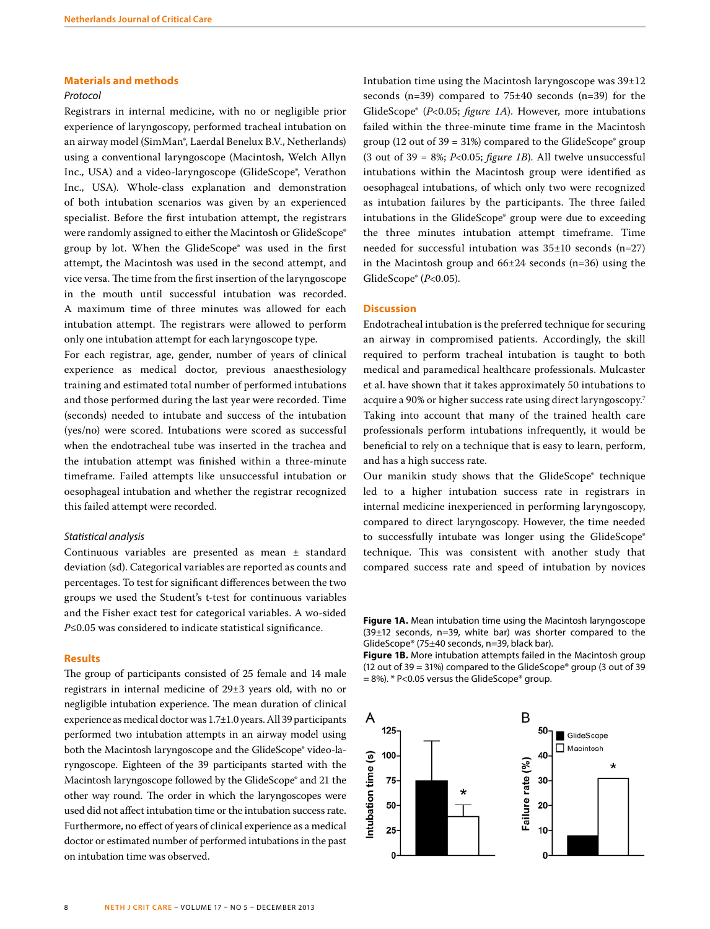#### **Materials and methods**

### *Protocol*

Registrars in internal medicine, with no or negligible prior experience of laryngoscopy, performed tracheal intubation on an airway model (SimMan®, Laerdal Benelux B.V., Netherlands) using a conventional laryngoscope (Macintosh, Welch Allyn Inc., USA) and a video-laryngoscope (GlideScope®, Verathon Inc., USA). Whole-class explanation and demonstration of both intubation scenarios was given by an experienced specialist. Before the first intubation attempt, the registrars were randomly assigned to either the Macintosh or GlideScope® group by lot. When the GlideScope® was used in the first attempt, the Macintosh was used in the second attempt, and vice versa. The time from the first insertion of the laryngoscope in the mouth until successful intubation was recorded. A maximum time of three minutes was allowed for each intubation attempt. The registrars were allowed to perform only one intubation attempt for each laryngoscope type.

For each registrar, age, gender, number of years of clinical experience as medical doctor, previous anaesthesiology training and estimated total number of performed intubations and those performed during the last year were recorded. Time (seconds) needed to intubate and success of the intubation (yes/no) were scored. Intubations were scored as successful when the endotracheal tube was inserted in the trachea and the intubation attempt was finished within a three-minute timeframe. Failed attempts like unsuccessful intubation or oesophageal intubation and whether the registrar recognized this failed attempt were recorded.

#### *Statistical analysis*

Continuous variables are presented as mean ± standard deviation (sd). Categorical variables are reported as counts and percentages. To test for significant differences between the two groups we used the Student's t-test for continuous variables and the Fisher exact test for categorical variables. A wo-sided *P*≤0.05 was considered to indicate statistical significance.

#### **Results**

The group of participants consisted of 25 female and 14 male registrars in internal medicine of 29±3 years old, with no or negligible intubation experience. The mean duration of clinical experience as medical doctor was 1.7±1.0 years. All 39 participants performed two intubation attempts in an airway model using both the Macintosh laryngoscope and the GlideScope® video-laryngoscope. Eighteen of the 39 participants started with the Macintosh laryngoscope followed by the GlideScope® and 21 the other way round. The order in which the laryngoscopes were used did not affect intubation time or the intubation success rate. Furthermore, no effect of years of clinical experience as a medical doctor or estimated number of performed intubations in the past on intubation time was observed.

Intubation time using the Macintosh laryngoscope was 39±12 seconds (n=39) compared to 75±40 seconds (n=39) for the GlideScope® (*P*<0.05; *figure 1A*). However, more intubations failed within the three-minute time frame in the Macintosh group (12 out of  $39 = 31\%$ ) compared to the GlideScope® group (3 out of 39 = 8%; *P*<0.05; *figure 1B*). All twelve unsuccessful intubations within the Macintosh group were identified as oesophageal intubations, of which only two were recognized as intubation failures by the participants. The three failed intubations in the GlideScope® group were due to exceeding the three minutes intubation attempt timeframe. Time needed for successful intubation was 35±10 seconds (n=27) in the Macintosh group and  $66\pm 24$  seconds (n=36) using the GlideScope® (*P*<0.05).

# **Discussion**

Endotracheal intubation is the preferred technique for securing an airway in compromised patients. Accordingly, the skill required to perform tracheal intubation is taught to both medical and paramedical healthcare professionals. Mulcaster et al. have shown that it takes approximately 50 intubations to acquire a 90% or higher success rate using direct laryngoscopy.7 Taking into account that many of the trained health care professionals perform intubations infrequently, it would be beneficial to rely on a technique that is easy to learn, perform, and has a high success rate.

Our manikin study shows that the GlideScope® technique led to a higher intubation success rate in registrars in internal medicine inexperienced in performing laryngoscopy, compared to direct laryngoscopy. However, the time needed to successfully intubate was longer using the GlideScope® technique. This was consistent with another study that compared success rate and speed of intubation by novices

**Figure 1A.** Mean intubation time using the Macintosh laryngoscope (39±12 seconds, n=39, white bar) was shorter compared to the GlideScope® (75±40 seconds, n=39, black bar).

**Figure 1B.** More intubation attempts failed in the Macintosh group (12 out of 39 = 31%) compared to the GlideScope® group (3 out of 39 = 8%). \* P<0.05 versus the GlideScope® group.